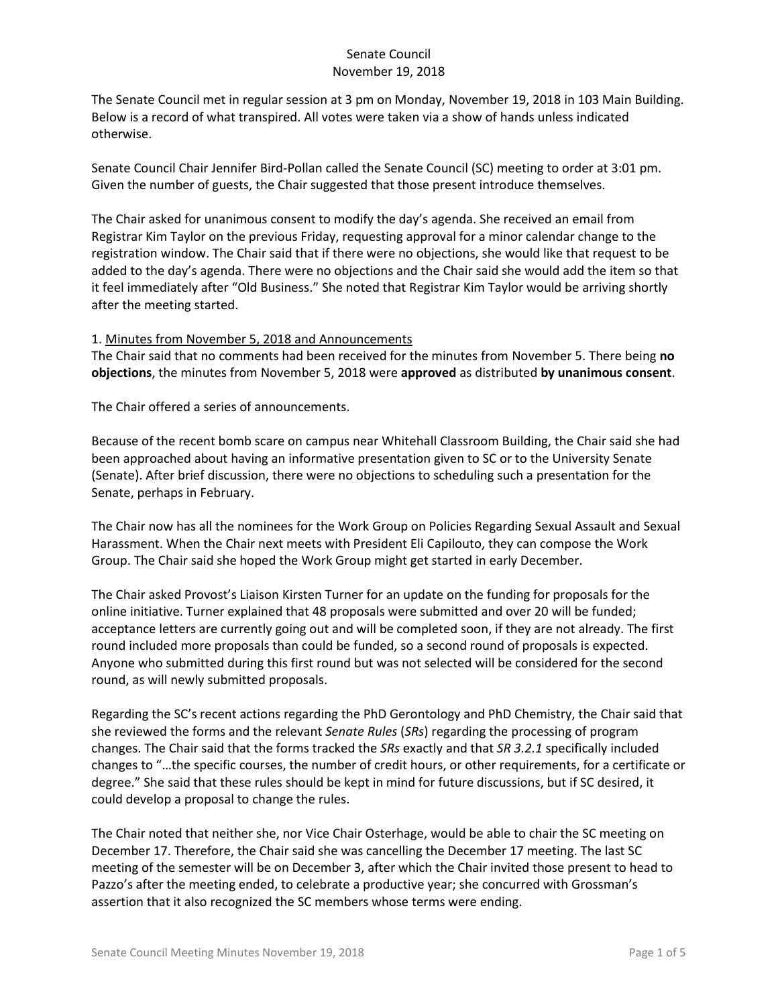The Senate Council met in regular session at 3 pm on Monday, November 19, 2018 in 103 Main Building. Below is a record of what transpired. All votes were taken via a show of hands unless indicated otherwise.

Senate Council Chair Jennifer Bird-Pollan called the Senate Council (SC) meeting to order at 3:01 pm. Given the number of guests, the Chair suggested that those present introduce themselves.

The Chair asked for unanimous consent to modify the day's agenda. She received an email from Registrar Kim Taylor on the previous Friday, requesting approval for a minor calendar change to the registration window. The Chair said that if there were no objections, she would like that request to be added to the day's agenda. There were no objections and the Chair said she would add the item so that it feel immediately after "Old Business." She noted that Registrar Kim Taylor would be arriving shortly after the meeting started.

### 1. Minutes from November 5, 2018 and Announcements

The Chair said that no comments had been received for the minutes from November 5. There being **no objections**, the minutes from November 5, 2018 were **approved** as distributed **by unanimous consent**.

The Chair offered a series of announcements.

Because of the recent bomb scare on campus near Whitehall Classroom Building, the Chair said she had been approached about having an informative presentation given to SC or to the University Senate (Senate). After brief discussion, there were no objections to scheduling such a presentation for the Senate, perhaps in February.

The Chair now has all the nominees for the Work Group on Policies Regarding Sexual Assault and Sexual Harassment. When the Chair next meets with President Eli Capilouto, they can compose the Work Group. The Chair said she hoped the Work Group might get started in early December.

The Chair asked Provost's Liaison Kirsten Turner for an update on the funding for proposals for the online initiative. Turner explained that 48 proposals were submitted and over 20 will be funded; acceptance letters are currently going out and will be completed soon, if they are not already. The first round included more proposals than could be funded, so a second round of proposals is expected. Anyone who submitted during this first round but was not selected will be considered for the second round, as will newly submitted proposals.

Regarding the SC's recent actions regarding the PhD Gerontology and PhD Chemistry, the Chair said that she reviewed the forms and the relevant *Senate Rules* (*SRs*) regarding the processing of program changes. The Chair said that the forms tracked the *SRs* exactly and that *SR 3.2.1* specifically included changes to "…the specific courses, the number of credit hours, or other requirements, for a certificate or degree." She said that these rules should be kept in mind for future discussions, but if SC desired, it could develop a proposal to change the rules.

The Chair noted that neither she, nor Vice Chair Osterhage, would be able to chair the SC meeting on December 17. Therefore, the Chair said she was cancelling the December 17 meeting. The last SC meeting of the semester will be on December 3, after which the Chair invited those present to head to Pazzo's after the meeting ended, to celebrate a productive year; she concurred with Grossman's assertion that it also recognized the SC members whose terms were ending.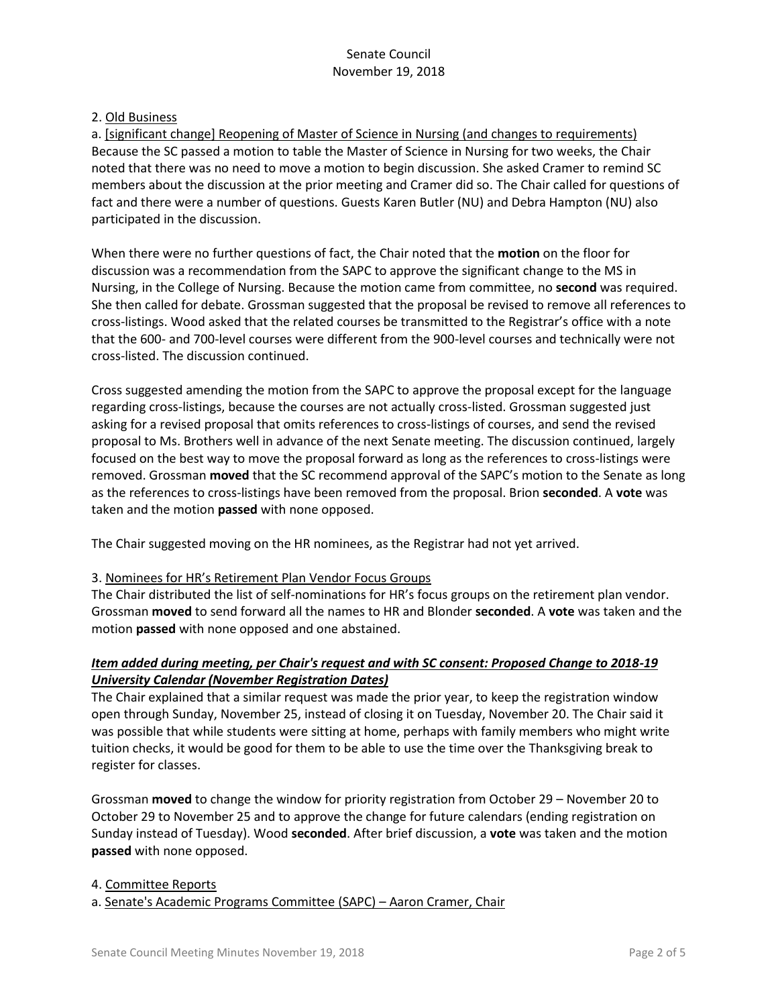### 2. Old Business

a. [significant change] Reopening of Master of Science in Nursing (and changes to requirements) Because the SC passed a motion to table the Master of Science in Nursing for two weeks, the Chair noted that there was no need to move a motion to begin discussion. She asked Cramer to remind SC members about the discussion at the prior meeting and Cramer did so. The Chair called for questions of fact and there were a number of questions. Guests Karen Butler (NU) and Debra Hampton (NU) also participated in the discussion.

When there were no further questions of fact, the Chair noted that the **motion** on the floor for discussion was a recommendation from the SAPC to approve the significant change to the MS in Nursing, in the College of Nursing. Because the motion came from committee, no **second** was required. She then called for debate. Grossman suggested that the proposal be revised to remove all references to cross-listings. Wood asked that the related courses be transmitted to the Registrar's office with a note that the 600- and 700-level courses were different from the 900-level courses and technically were not cross-listed. The discussion continued.

Cross suggested amending the motion from the SAPC to approve the proposal except for the language regarding cross-listings, because the courses are not actually cross-listed. Grossman suggested just asking for a revised proposal that omits references to cross-listings of courses, and send the revised proposal to Ms. Brothers well in advance of the next Senate meeting. The discussion continued, largely focused on the best way to move the proposal forward as long as the references to cross-listings were removed. Grossman **moved** that the SC recommend approval of the SAPC's motion to the Senate as long as the references to cross-listings have been removed from the proposal. Brion **seconded**. A **vote** was taken and the motion **passed** with none opposed.

The Chair suggested moving on the HR nominees, as the Registrar had not yet arrived.

### 3. Nominees for HR's Retirement Plan Vendor Focus Groups

The Chair distributed the list of self-nominations for HR's focus groups on the retirement plan vendor. Grossman **moved** to send forward all the names to HR and Blonder **seconded**. A **vote** was taken and the motion **passed** with none opposed and one abstained.

# *Item added during meeting, per Chair's request and with SC consent: Proposed Change to 2018-19 University Calendar (November Registration Dates)*

The Chair explained that a similar request was made the prior year, to keep the registration window open through Sunday, November 25, instead of closing it on Tuesday, November 20. The Chair said it was possible that while students were sitting at home, perhaps with family members who might write tuition checks, it would be good for them to be able to use the time over the Thanksgiving break to register for classes.

Grossman **moved** to change the window for priority registration from October 29 – November 20 to October 29 to November 25 and to approve the change for future calendars (ending registration on Sunday instead of Tuesday). Wood **seconded**. After brief discussion, a **vote** was taken and the motion **passed** with none opposed.

4. Committee Reports

a. Senate's Academic Programs Committee (SAPC) – Aaron Cramer, Chair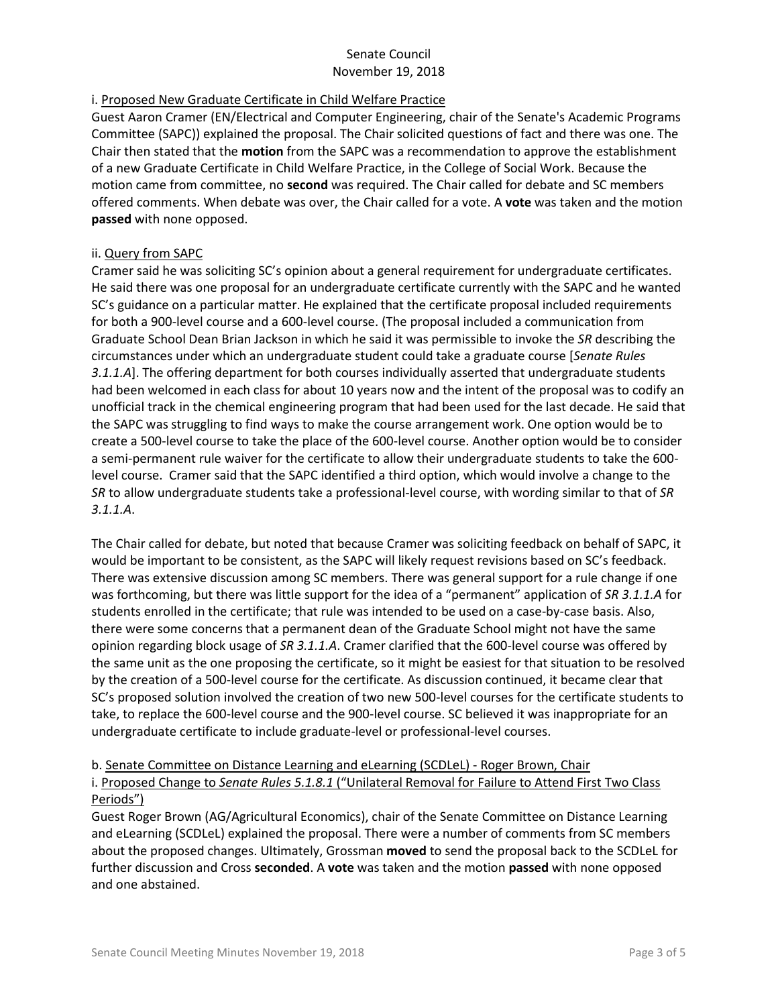## i. Proposed New Graduate Certificate in Child Welfare Practice

Guest Aaron Cramer (EN/Electrical and Computer Engineering, chair of the Senate's Academic Programs Committee (SAPC)) explained the proposal. The Chair solicited questions of fact and there was one. The Chair then stated that the **motion** from the SAPC was a recommendation to approve the establishment of a new Graduate Certificate in Child Welfare Practice, in the College of Social Work. Because the motion came from committee, no **second** was required. The Chair called for debate and SC members offered comments. When debate was over, the Chair called for a vote. A **vote** was taken and the motion **passed** with none opposed.

## ii. Query from SAPC

Cramer said he was soliciting SC's opinion about a general requirement for undergraduate certificates. He said there was one proposal for an undergraduate certificate currently with the SAPC and he wanted SC's guidance on a particular matter. He explained that the certificate proposal included requirements for both a 900-level course and a 600-level course. (The proposal included a communication from Graduate School Dean Brian Jackson in which he said it was permissible to invoke the *SR* describing the circumstances under which an undergraduate student could take a graduate course [*Senate Rules 3.1.1.A*]. The offering department for both courses individually asserted that undergraduate students had been welcomed in each class for about 10 years now and the intent of the proposal was to codify an unofficial track in the chemical engineering program that had been used for the last decade. He said that the SAPC was struggling to find ways to make the course arrangement work. One option would be to create a 500-level course to take the place of the 600-level course. Another option would be to consider a semi-permanent rule waiver for the certificate to allow their undergraduate students to take the 600 level course. Cramer said that the SAPC identified a third option, which would involve a change to the *SR* to allow undergraduate students take a professional-level course, with wording similar to that of *SR 3.1.1.A*.

The Chair called for debate, but noted that because Cramer was soliciting feedback on behalf of SAPC, it would be important to be consistent, as the SAPC will likely request revisions based on SC's feedback. There was extensive discussion among SC members. There was general support for a rule change if one was forthcoming, but there was little support for the idea of a "permanent" application of *SR 3.1.1.A* for students enrolled in the certificate; that rule was intended to be used on a case-by-case basis. Also, there were some concerns that a permanent dean of the Graduate School might not have the same opinion regarding block usage of *SR 3.1.1.A*. Cramer clarified that the 600-level course was offered by the same unit as the one proposing the certificate, so it might be easiest for that situation to be resolved by the creation of a 500-level course for the certificate. As discussion continued, it became clear that SC's proposed solution involved the creation of two new 500-level courses for the certificate students to take, to replace the 600-level course and the 900-level course. SC believed it was inappropriate for an undergraduate certificate to include graduate-level or professional-level courses.

# b. Senate Committee on Distance Learning and eLearning (SCDLeL) - Roger Brown, Chair i. Proposed Change to *Senate Rules 5.1.8.1* ("Unilateral Removal for Failure to Attend First Two Class Periods")

Guest Roger Brown (AG/Agricultural Economics), chair of the Senate Committee on Distance Learning and eLearning (SCDLeL) explained the proposal. There were a number of comments from SC members about the proposed changes. Ultimately, Grossman **moved** to send the proposal back to the SCDLeL for further discussion and Cross **seconded**. A **vote** was taken and the motion **passed** with none opposed and one abstained.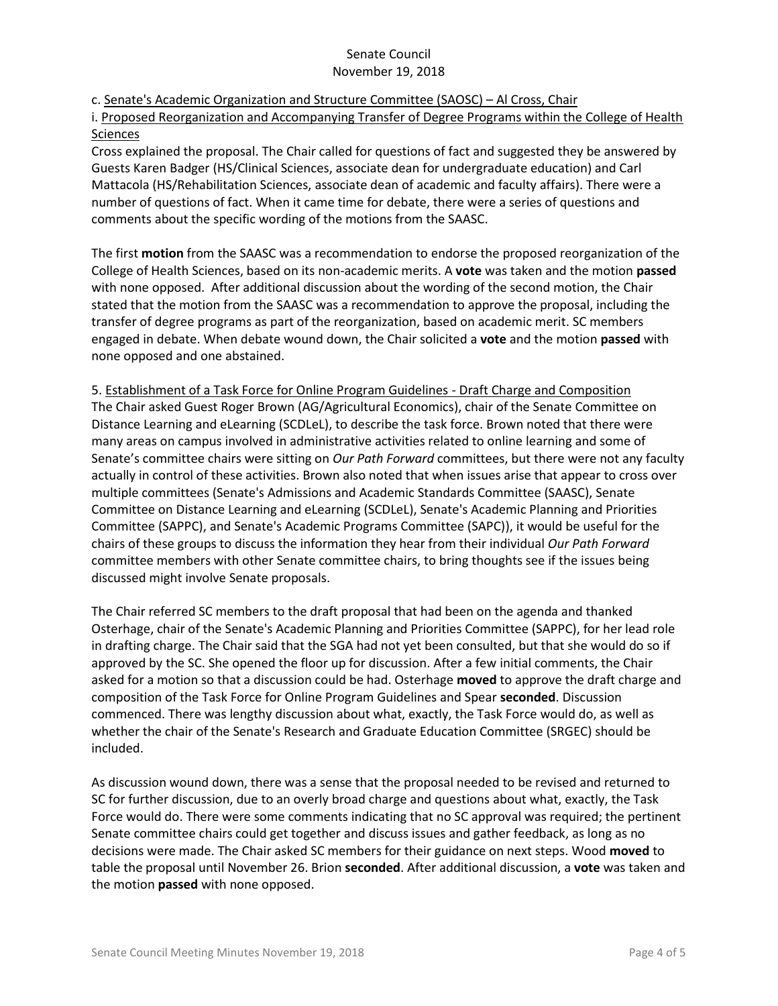c. Senate's Academic Organization and Structure Committee (SAOSC) – Al Cross, Chair

i. Proposed Reorganization and Accompanying Transfer of Degree Programs within the College of Health **Sciences** 

Cross explained the proposal. The Chair called for questions of fact and suggested they be answered by Guests Karen Badger (HS/Clinical Sciences, associate dean for undergraduate education) and Carl Mattacola (HS/Rehabilitation Sciences, associate dean of academic and faculty affairs). There were a number of questions of fact. When it came time for debate, there were a series of questions and comments about the specific wording of the motions from the SAASC.

The first **motion** from the SAASC was a recommendation to endorse the proposed reorganization of the College of Health Sciences, based on its non-academic merits. A **vote** was taken and the motion **passed**  with none opposed. After additional discussion about the wording of the second motion, the Chair stated that the motion from the SAASC was a recommendation to approve the proposal, including the transfer of degree programs as part of the reorganization, based on academic merit. SC members engaged in debate. When debate wound down, the Chair solicited a **vote** and the motion **passed** with none opposed and one abstained.

5. Establishment of a Task Force for Online Program Guidelines - Draft Charge and Composition The Chair asked Guest Roger Brown (AG/Agricultural Economics), chair of the Senate Committee on Distance Learning and eLearning (SCDLeL), to describe the task force. Brown noted that there were many areas on campus involved in administrative activities related to online learning and some of Senate's committee chairs were sitting on *Our Path Forward* committees, but there were not any faculty actually in control of these activities. Brown also noted that when issues arise that appear to cross over multiple committees (Senate's Admissions and Academic Standards Committee (SAASC), Senate Committee on Distance Learning and eLearning (SCDLeL), Senate's Academic Planning and Priorities Committee (SAPPC), and Senate's Academic Programs Committee (SAPC)), it would be useful for the chairs of these groups to discuss the information they hear from their individual *Our Path Forward* committee members with other Senate committee chairs, to bring thoughts see if the issues being discussed might involve Senate proposals.

The Chair referred SC members to the draft proposal that had been on the agenda and thanked Osterhage, chair of the Senate's Academic Planning and Priorities Committee (SAPPC), for her lead role in drafting charge. The Chair said that the SGA had not yet been consulted, but that she would do so if approved by the SC. She opened the floor up for discussion. After a few initial comments, the Chair asked for a motion so that a discussion could be had. Osterhage **moved** to approve the draft charge and composition of the Task Force for Online Program Guidelines and Spear **seconded**. Discussion commenced. There was lengthy discussion about what, exactly, the Task Force would do, as well as whether the chair of the Senate's Research and Graduate Education Committee (SRGEC) should be included.

As discussion wound down, there was a sense that the proposal needed to be revised and returned to SC for further discussion, due to an overly broad charge and questions about what, exactly, the Task Force would do. There were some comments indicating that no SC approval was required; the pertinent Senate committee chairs could get together and discuss issues and gather feedback, as long as no decisions were made. The Chair asked SC members for their guidance on next steps. Wood **moved** to table the proposal until November 26. Brion **seconded**. After additional discussion, a **vote** was taken and the motion **passed** with none opposed.